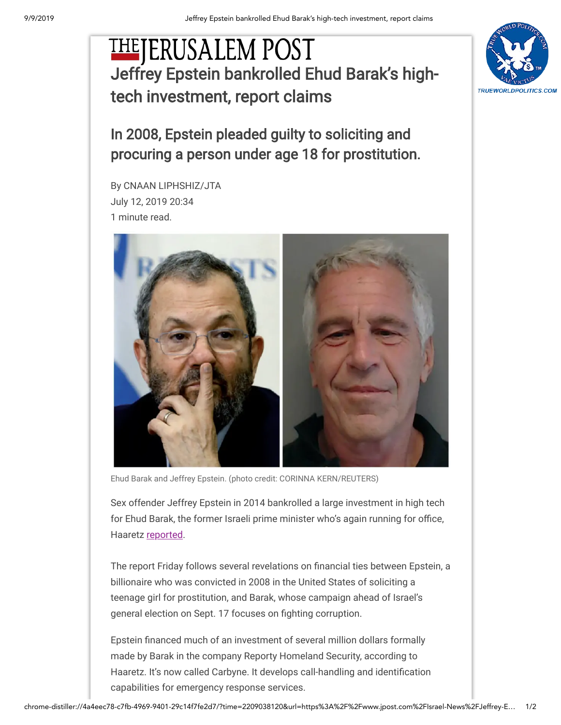## **THEJERUSALEM POST** [Jeffrey Epstein bankrolled Ehud Barak's high](https://www.jpost.com/Israel-News/Jeffrey-Epstein-bankrolled-Ehud-Baraks-high-tech-investment-report-claims-595492)tech investment, report claims



In 2008, Epstein pleaded guilty to soliciting and procuring a person under age 18 for prostitution.

By CNAAN LIPHSHIZ/JTA July 12, 2019 20:34 1 minute read.



Sex offender Jeffrey Epstein in 2014 bankrolled a large investment in high tech for Ehud Barak, the former Israeli prime minister who's again running for office, Haaretz [reported.](https://www.haaretz.com/israel-news/.premium-revealed-jeffrey-epstein-entered-million-dollar-partnership-with-ehud-barak-in-2015-1.7493648)

The report Friday follows several revelations on financial ties between Epstein, a billionaire who was convicted in 2008 in the United States of soliciting a teenage girl for prostitution, and Barak, whose campaign ahead of Israel's general election on Sept. 17 focuses on fighting corruption. Ehud Barak and Jeffrey Epstein. (photo credit: CORINNA KERN/REUTERS)<br>Sex offender Jeffrey Epstein in 2014 bankrolled a large investm<br>for Ehud Barak, the former Israeli prime minister who's again ru<br>Haaretz <u>reported</u>.<br>The

Epstein financed much of an investment of several million dollars formally made by Barak in the company Reporty Homeland Security, according to Haaretz. It's now called Carbyne. It develops call-handling and identification